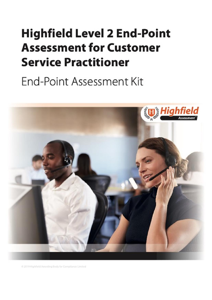# <span id="page-0-1"></span><span id="page-0-0"></span>**Highfield Level 2 End-Point Assessment for Customer Service Practitioner**

End-Point Assessment Kit



@ 2019 Highfield Awarding Body for Compliance Limiter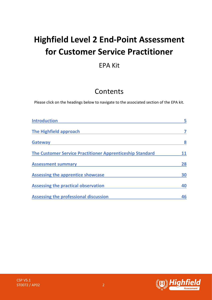# **Highfield Level 2 End-Point Assessment for Customer Service Practitioner**

## EPA Kit

## Contents

Please click on the headings below to navigate to the associated section of the EPA kit.

| <b>Introduction</b>                                       |    |
|-----------------------------------------------------------|----|
| The Highfield approach                                    |    |
| <b>Gateway</b>                                            | 8  |
| The Customer Service Practitioner Apprenticeship Standard |    |
| <b>Assessment summary</b>                                 | 28 |
| <b>Assessing the apprentice showcase</b>                  | 30 |
| Assessing the practical observation                       | 40 |
| <b>Assessing the professional discussion</b>              | 46 |



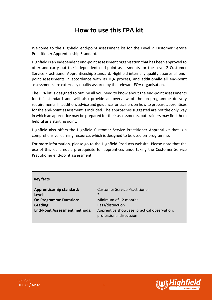## **How to use this EPA kit**

Welcome to the Highfield end-point assessment kit for the Level 2 Customer Service Practitioner Apprenticeship Standard.

Highfield is an independent end-point assessment organisation that has been approved to offer and carry out the independent end-point assessments for the Level 2 Customer Service Practitioner Apprenticeship Standard. Highfield internally quality assures all endpoint assessments in accordance with its IQA process, and additionally all end-point assessments are externally quality assured by the relevant EQA organisation.

The EPA kit is designed to outline all you need to know about the end-point assessments for this standard and will also provide an overview of the on-programme delivery requirements. In addition**,** advice and guidance for trainers on how to prepare apprentices for the end-point assessment is included. The approaches suggested are not the only way in which an apprentice may be prepared for their assessments, but trainers may find them helpful as a starting point.

Highfield also offers the Highfield Customer Service Practitioner Apprenti-kit that is a comprehensive learning resource, which is designed to be used on-programme.

For more information, please go to the Highfield Products website. Please note that the use of this kit is not a prerequisite for apprentices undertaking the Customer Service Practitioner end-point assessment.

#### **Key facts**

**Level:** 2 **On Programme Duration:** Minimum of 12 months **Grading:** Pass/distinction

**Apprenticeship standard:** Customer Service Practitioner **End-Point Assessment methods:** Apprentice showcase, practical observation, professional discussion

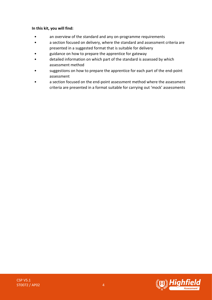#### **In this kit, you will find:**

- an overview of the standard and any on-programme requirements
- a section focused on delivery, where the standard and assessment criteria are presented in a suggested format that is suitable for delivery
- guidance on how to prepare the apprentice for gateway
- detailed information on which part of the standard is assessed by which assessment method
- suggestions on how to prepare the apprentice for each part of the end-point assessment
- a section focused on the end-point assessment method where the assessment criteria are presented in a format suitable for carrying out 'mock' assessments

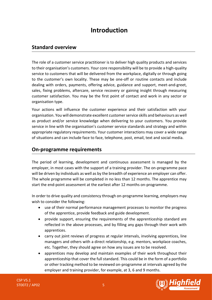## **Introduction**

## <span id="page-4-0"></span>**Standard overview**

The role of a customer service practitioner is to deliver high quality products and services to their organisation's customers. Your core responsibility will be to provide a high-quality service to customers that will be delivered from the workplace, digitally or through going to the customer's own locality. These may be one-off or routine contacts and include dealing with orders, payments, offering advice, guidance and support, meet-and-greet, sales, fixing problems, aftercare, service recovery or gaining insight through measuring customer satisfaction. You may be the first point of contact and work in any sector or organisation type.

Your actions will influence the customer experience and their satisfaction with your organisation. You will demonstrate excellent customer service skills and behaviours as well as product and/or service knowledge when delivering to your customers. You provide service in line with the organisation's customer service standards and strategy and within appropriate regulatory requirements. Your customer interactions may cover a wide range of situations and can include face to face, telephone, post, email, text and social media.

### **On-programme requirements**

The period of learning, development and continuous assessment is managed by the employer, in most cases with the support of a training provider. The on-programme pace will be driven by individuals as well as by the breadth of experience an employer can offer. The whole programme will be completed in no less than 12 months. The apprentice may start the end-point assessment at the earliest after 12 months on-programme.

In order to drive quality and consistency through on-programme learning, employers may wish to consider the following:

- use of their normal performance management processes to monitor the progress of the apprentice, provide feedback and guide development.
- provide support, ensuring the requirements of the apprenticeship standard are reflected in the above processes, and by filling any gaps through their work with apprentices.
- carry out joint reviews of progress at regular intervals, involving apprentices, line managers and others with a direct relationship, e.g. mentors, workplace coaches, etc. Together, they should agree on how any issues are to be resolved.
- apprentices may develop and maintain examples of their work throughout their apprenticeship that cover the full standard. This could be in the form of a portfolio or other tracking method to be reviewed on-programme at intervals agreed by the employer and training provider, for example, at 3, 6 and 9 months.

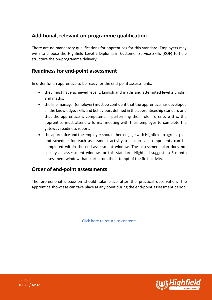## **Additional, relevant on-programme qualification**

There are no mandatory qualifications for apprentices for this standard. Employers may wish to choose the Highfield Level 2 Diploma in Customer Service Skills (RQF) to help structure the on-programme delivery.

## **Readiness for end-point assessment**

In order for an apprentice to be ready for the end-point assessments:

- they must have achieved level 1 English and maths and attempted level 2 English and maths.
- the line manager (employer) must be confident that the apprentice has developed all the knowledge, skills and behaviours defined in the apprenticeship standard and that the apprentice is competent in performing their role. To ensure this, the apprentice must attend a formal meeting with their employer to complete the gateway readiness report.
- the apprentice and the employer should then engage with Highfield to agree a plan and schedule for each assessment activity to ensure all components can be completed within the end-assessment window. The assessment plan does not specify an assessment window for this standard. Highfield suggests a 3-month assessment window that starts from the attempt of the first activity.

## **Order of end-point assessments**

<span id="page-5-0"></span>The professional discussion should take place after the practical observation. The apprentice showcase can take place at any point during the end-point assessment period.

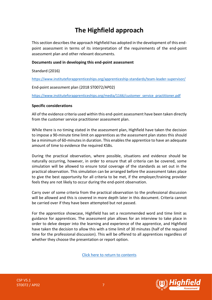## **The Highfield approach**

This section describes the approach Highfield has adopted in the development of this endpoint assessment in terms of its interpretation of the requirements of the end-point assessment plan and other relevant documents.

#### **Documents used in developing this end-point assessment**

Standard (2016)

<https://www.instituteforapprenticeships.org/apprenticeship-standards/team-leader-supervisor/>

End-point assessment plan (2018 ST0072/AP02)

[https://www.instituteforapprenticeships.org/media/1166/customer\\_service\\_practitioner.pdf](https://www.instituteforapprenticeships.org/media/1166/customer_service_practitioner.pdf)

#### **Specific considerations**

All of the evidence criteria used within this end-point assessment have been taken directly from the customer service practitioner assessment plan.

While there is no timing stated in the assessment plan, Highfield have taken the decision to impose a 90-minute time limit on apprentices as the assessment plan states this should be a minimum of 60-minutes in duration. This enables the apprentice to have an adequate amount of time to evidence the required KSBs.

During the practical observation, where possible, situations and evidence should be naturally occurring, however, in order to ensure that all criteria can be covered, some simulation will be allowed to ensure total coverage of the standards as set out in the practical observation. This simulation can be arranged before the assessment takes place to give the best opportunity for all criteria to be met, if the employer/training provider feels they are not likely to occur during the end-point observation.

Carry over of some criteria from the practical observation to the professional discussion will be allowed and this is covered in more depth later in this document. Criteria cannot be carried over if they have been attempted but not passed.

For the apprentice showcase, Highfield has set a recommended word and time limit as guidance for apprentices. The assessment plan allows for an interview to take place in order to delve deeper into the learning and experience of the apprentice, and Highfield have taken the decision to allow this with a time limit of 30 minutes (half of the required time for the professional discussion). This will be offered to all apprentices regardless of whether they choose the presentation or report option.

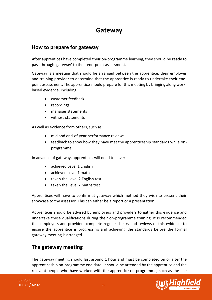## **Gateway**

## <span id="page-7-0"></span>**How to prepare for gateway**

After apprentices have completed their on-programme learning, they should be ready to pass through 'gateway' to their end-point assessment.

Gateway is a meeting that should be arranged between the apprentice, their employer and training provider to determine that the apprentice is ready to undertake their endpoint assessment. The apprentice should prepare for this meeting by bringing along workbased evidence, including:

- customer feedback
- recordings
- manager statements
- witness statements

As well as evidence from others, such as:

- mid and end-of-year performance reviews
- feedback to show how they have met the apprenticeship standards while onprogramme

In advance of gateway, apprentices will need to have:

- achieved Level 1 English
- achieved Level 1 maths
- taken the Level 2 English test
- taken the Level 2 maths test

Apprentices will have to confirm at gateway which method they wish to present their showcase to the assessor. This can either be a report or a presentation.

Apprentices should be advised by employers and providers to gather this evidence and undertake these qualifications during their on-programme training. It is recommended that employers and providers complete regular checks and reviews of this evidence to ensure the apprentice is progressing and achieving the standards before the formal gateway meeting is arranged.

## **The gateway meeting**

The gateway meeting should last around 1 hour and must be completed on or after the apprenticeship on-programme end date. It should be attended by the apprentice and the relevant people who have worked with the apprentice on-programme, such as the line

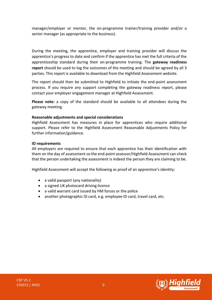manager/employer or mentor, the on-programme trainer/training provider and/or a senior manager (as appropriate to the business).

During the meeting, the apprentice, employer and training provider will discuss the apprentice's progress to date and confirm if the apprentice has met the full criteria of the apprenticeship standard during their on-programme training. The **gateway readiness report** should be used to log the outcomes of the meeting and should be agreed by all 3 parties. This report is available to download from the Highfield Assessment website.

The report should then be submitted to Highfield to initiate the end-point assessment process. If you require any support completing the gateway readiness report, please contact your employer engagement manager at Highfield Assessment.

**Please note:** a copy of the standard should be available to all attendees during the gateway meeting.

#### **Reasonable adjustments and special considerations**

Highfield Assessment has measures in place for apprentices who require additional support. Please refer to the Highfield Assessment Reasonable Adjustments Policy for further information/guidance.

#### **ID requirements**

All employers are required to ensure that each apprentice has their identification with them on the day of assessment so the end-point assessor/Highfield Assessment can check that the person undertaking the assessment is indeed the person they are claiming to be.

Highfield Assessment will accept the following as proof of an apprentice's identity:

- a valid passport (any nationality)
- a signed UK photocard driving licence
- a valid warrant card issued by HM forces or the police
- another photographic ID card, e.g. employee ID card, travel card, etc.

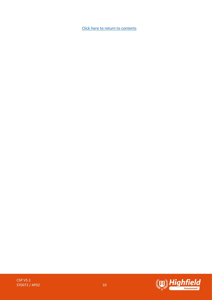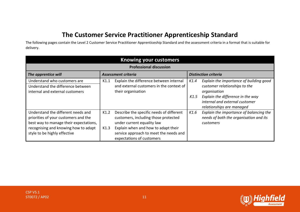## **The Customer Service Practitioner Apprenticeship Standard**

The following pages contain the Level 2 Customer Service Practitioner Apprenticeship Standard and the assessment criteria in a format that is suitable for delivery.

<span id="page-10-0"></span>

| <b>Knowing your customers</b>                                                                                                                                                                |                                                                                                                                                                                                                                              |                                                                                                                                                                                                              |  |  |  |  |
|----------------------------------------------------------------------------------------------------------------------------------------------------------------------------------------------|----------------------------------------------------------------------------------------------------------------------------------------------------------------------------------------------------------------------------------------------|--------------------------------------------------------------------------------------------------------------------------------------------------------------------------------------------------------------|--|--|--|--|
| <b>Professional discussion</b>                                                                                                                                                               |                                                                                                                                                                                                                                              |                                                                                                                                                                                                              |  |  |  |  |
| The apprentice will                                                                                                                                                                          | Assessment criteria                                                                                                                                                                                                                          | <b>Distinction criteria</b>                                                                                                                                                                                  |  |  |  |  |
| Understand who customers are<br>Understand the difference between<br>internal and external customers                                                                                         | Explain the difference between internal<br>K1.1<br>and external customers in the context of<br>their organisation                                                                                                                            | Explain the importance of building good<br>K1.4<br>customer relationships to the<br>organisation<br>Explain the difference in the way<br>K1.5<br>internal and external customer<br>relationships are managed |  |  |  |  |
| Understand the different needs and<br>priorities of your customers and the<br>best way to manage their expectations,<br>recognising and knowing how to adapt<br>style to be highly effective | Describe the specific needs of different<br>K1.2<br>customers, including those protected<br>under current equality law<br>Explain when and how to adapt their<br>K1.3<br>service approach to meet the needs and<br>expectations of customers | Explain the importance of balancing the<br>K1.6<br>needs of both the organisation and its<br>customers                                                                                                       |  |  |  |  |

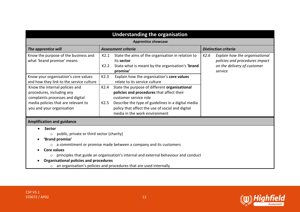| <b>Understanding the organisation</b>                                                                                                                                                      |                                                                                                                                                                                                                                                                                |                                                                                                                    |  |  |  |  |
|--------------------------------------------------------------------------------------------------------------------------------------------------------------------------------------------|--------------------------------------------------------------------------------------------------------------------------------------------------------------------------------------------------------------------------------------------------------------------------------|--------------------------------------------------------------------------------------------------------------------|--|--|--|--|
| <b>Apprentice showcase</b>                                                                                                                                                                 |                                                                                                                                                                                                                                                                                |                                                                                                                    |  |  |  |  |
| The apprentice will                                                                                                                                                                        | <b>Assessment criteria</b>                                                                                                                                                                                                                                                     | <b>Distinction criteria</b>                                                                                        |  |  |  |  |
| Know the purpose of the business and<br>what 'brand promise' means                                                                                                                         | State the aims of the organisation in relation to<br>K2.1<br>its sector<br>State what is meant by the organisation's 'brand<br>K2.2<br>promise'                                                                                                                                | K2.6<br>Explain how the organisational<br>policies and procedures impact<br>on the delivery of customer<br>service |  |  |  |  |
| Know your organisation's core values<br>and how they link to the service culture                                                                                                           | Explain how the organisation's core values<br>K2.3<br>relate to its service culture                                                                                                                                                                                            |                                                                                                                    |  |  |  |  |
| Know the internal policies and<br>procedures, including any<br>complaints processes and digital<br>media policies that are relevant to<br>you and your organisation                        | K2.4<br>State the purpose of different organisational<br>policies and procedures that affect their<br>customer service role<br>Describe the type of guidelines in a digital media<br>K2.5<br>policy that affect the use of social and digital<br>media in the work environment |                                                                                                                    |  |  |  |  |
| <b>Amplification and guidance</b>                                                                                                                                                          |                                                                                                                                                                                                                                                                                |                                                                                                                    |  |  |  |  |
| <b>Sector</b><br>public, private or third sector (charity)<br>$\circ$<br>'Brand promise'<br>$\circ$<br><b>Core values</b><br>$\circ$<br><b>Organisational policies and procedures</b><br>O | a commitment or promise made between a company and its customers<br>principles that guide an organisation's internal and external behaviour and conduct<br>an organisation's policies and procedures that are used internally                                                  |                                                                                                                    |  |  |  |  |

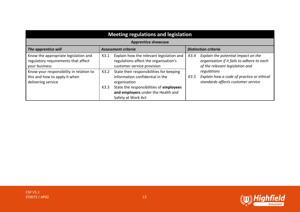| <b>Meeting regulations and legislation</b>                                                     |                            |                                                                                                                                                                                                    |      |                                                                                                                      |  |  |
|------------------------------------------------------------------------------------------------|----------------------------|----------------------------------------------------------------------------------------------------------------------------------------------------------------------------------------------------|------|----------------------------------------------------------------------------------------------------------------------|--|--|
|                                                                                                | <b>Apprentice showcase</b> |                                                                                                                                                                                                    |      |                                                                                                                      |  |  |
| The apprentice will                                                                            |                            | <b>Assessment criteria</b>                                                                                                                                                                         |      | <b>Distinction criteria</b>                                                                                          |  |  |
| Know the appropriate legislation and<br>regulatory requirements that affect<br>your business   | K3.1                       | Explain how the relevant legislation and<br>regulations affect the organisation's<br>customer service provision                                                                                    | K3.4 | Explain the potential impact on the<br>organisation if it fails to adhere to each<br>of the relevant legislation and |  |  |
| Know your responsibility in relation to<br>this and how to apply it when<br>delivering service | K3.2<br>K3.3               | State their responsibilities for keeping<br>information confidential in the<br>organisation<br>State the responsibilities of employees<br>and employers under the Health and<br>Safety at Work Act | K3.5 | regulations<br>Explain how a code of practice or ethical<br>standards affects customer service                       |  |  |

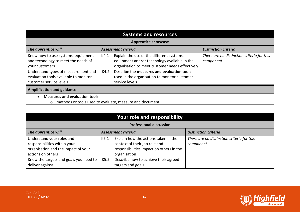| <b>Systems and resources</b>                                                                                                                                                                           |                                                                                                                                                                                                                                                                              |                                                         |  |  |
|--------------------------------------------------------------------------------------------------------------------------------------------------------------------------------------------------------|------------------------------------------------------------------------------------------------------------------------------------------------------------------------------------------------------------------------------------------------------------------------------|---------------------------------------------------------|--|--|
| <b>Apprentice showcase</b>                                                                                                                                                                             |                                                                                                                                                                                                                                                                              |                                                         |  |  |
| The apprentice will                                                                                                                                                                                    | <b>Assessment criteria</b>                                                                                                                                                                                                                                                   | <b>Distinction criteria</b>                             |  |  |
| Know how to use systems, equipment<br>and technology to meet the needs of<br>your customers<br>Understand types of measurement and<br>evaluation tools available to monitor<br>customer service levels | Explain the use of the different systems,<br>K4.1<br>equipment and/or technology available in the<br>organisation to meet customer needs effectively<br>Describe the measures and evaluation tools<br>K4.2<br>used in the organisation to monitor customer<br>service levels | There are no distinction criteria for this<br>component |  |  |
| <b>Amplification and guidance</b>                                                                                                                                                                      |                                                                                                                                                                                                                                                                              |                                                         |  |  |
| <b>Measures and evaluation tools</b>                                                                                                                                                                   | o methods or tools used to evaluate, measure and document                                                                                                                                                                                                                    |                                                         |  |  |

| Your role and responsibility                                                                                          |                                                    |                                                                                                                                   |                                                         |  |  |  |
|-----------------------------------------------------------------------------------------------------------------------|----------------------------------------------------|-----------------------------------------------------------------------------------------------------------------------------------|---------------------------------------------------------|--|--|--|
|                                                                                                                       | <b>Professional discussion</b>                     |                                                                                                                                   |                                                         |  |  |  |
| The apprentice will                                                                                                   | Assessment criteria<br><b>Distinction criteria</b> |                                                                                                                                   |                                                         |  |  |  |
| Understand your roles and<br>responsibilities within your<br>organisation and the impact of your<br>actions on others | K5.1                                               | Explain how the actions taken in the<br>context of their job role and<br>responsibilities impact on others in the<br>organisation | There are no distinction criteria for this<br>component |  |  |  |
| Know the targets and goals you need to<br>deliver against                                                             | K5.2                                               | Describe how to achieve their agreed<br>targets and goals                                                                         |                                                         |  |  |  |

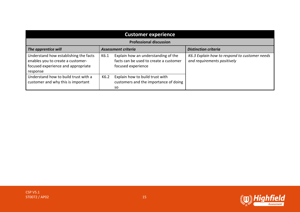| <b>Customer experience</b>                                                                                                   |      |                                                                                                     |                                                                              |  |  |
|------------------------------------------------------------------------------------------------------------------------------|------|-----------------------------------------------------------------------------------------------------|------------------------------------------------------------------------------|--|--|
|                                                                                                                              |      | <b>Professional discussion</b>                                                                      |                                                                              |  |  |
| The apprentice will                                                                                                          |      | <b>Assessment criteria</b>                                                                          | <b>Distinction criteria</b>                                                  |  |  |
| Understand how establishing the facts<br>enables you to create a customer-<br>focused experience and appropriate<br>response | K6.1 | Explain how an understanding of the<br>facts can be used to create a customer<br>focused experience | K6.3 Explain how to respond to customer needs<br>and requirements positively |  |  |
| Understand how to build trust with a<br>customer and why this is important                                                   | K6.2 | Explain how to build trust with<br>customers and the importance of doing<br>so                      |                                                                              |  |  |

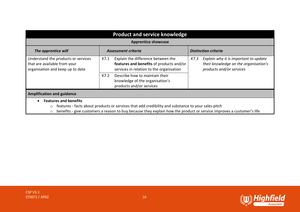| <b>Product and service knowledge</b>                                                                    |                                                                                                                                                                                                                            |                                                                                                                    |  |  |  |  |
|---------------------------------------------------------------------------------------------------------|----------------------------------------------------------------------------------------------------------------------------------------------------------------------------------------------------------------------------|--------------------------------------------------------------------------------------------------------------------|--|--|--|--|
| <b>Apprentice showcase</b>                                                                              |                                                                                                                                                                                                                            |                                                                                                                    |  |  |  |  |
| The apprentice will                                                                                     | Assessment criteria                                                                                                                                                                                                        | <b>Distinction criteria</b>                                                                                        |  |  |  |  |
| Understand the products or services<br>that are available from your<br>organisation and keep up to date | Explain the difference between the<br>K7.1<br>features and benefits of products and/or<br>services in relation to the organisation                                                                                         | Explain why it is important to update<br>K7.3<br>their knowledge on the organisation's<br>products and/or services |  |  |  |  |
|                                                                                                         | Describe how to maintain their<br>K7.2<br>knowledge of the organisation's<br>products and/or services                                                                                                                      |                                                                                                                    |  |  |  |  |
| <b>Amplification and guidance</b>                                                                       |                                                                                                                                                                                                                            |                                                                                                                    |  |  |  |  |
| <b>Features and benefits</b><br>$\bullet$<br>$\circ$<br>$\circ$                                         | features - facts about products or services that add credibility and substance to your sales pitch<br>benefits - give customers a reason to buy because they explain how the product or service improves a customer's life |                                                                                                                    |  |  |  |  |

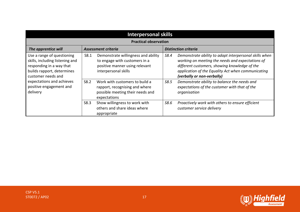| <b>Interpersonal skills</b>                                                                                                                   |                              |                                                                                                                                |                             |                                                                                                                                                                                                                                                 |  |  |  |
|-----------------------------------------------------------------------------------------------------------------------------------------------|------------------------------|--------------------------------------------------------------------------------------------------------------------------------|-----------------------------|-------------------------------------------------------------------------------------------------------------------------------------------------------------------------------------------------------------------------------------------------|--|--|--|
|                                                                                                                                               | <b>Practical observation</b> |                                                                                                                                |                             |                                                                                                                                                                                                                                                 |  |  |  |
| The apprentice will                                                                                                                           |                              | Assessment criteria                                                                                                            | <b>Distinction criteria</b> |                                                                                                                                                                                                                                                 |  |  |  |
| Use a range of questioning<br>skills, including listening and<br>responding in a way that<br>builds rapport, determines<br>customer needs and | S8.1                         | Demonstrate willingness and ability<br>to engage with customers in a<br>positive manner using relevant<br>interpersonal skills | S8.4                        | Demonstrate ability to adapt interpersonal skills when<br>working on meeting the needs and expectations of<br>different customers, showing knowledge of the<br>application of the Equality Act when communicating<br>(verbally or non-verbally) |  |  |  |
| expectations and achieves<br>positive engagement and<br>delivery                                                                              | S8.2                         | Work with customers to build a<br>rapport, recognising and where<br>possible meeting their needs and<br>expectations           | S8.5                        | Demonstrate ability to balance the needs and<br>expectations of the customer with that of the<br>organisation                                                                                                                                   |  |  |  |
|                                                                                                                                               | S8.3                         | Show willingness to work with<br>others and share ideas where<br>appropriate                                                   | S8.6                        | Proactively work with others to ensure efficient<br>customer service delivery                                                                                                                                                                   |  |  |  |

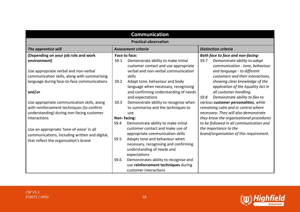| <b>Communication</b>                                                             |                                                                         |                                                                  |  |  |  |  |
|----------------------------------------------------------------------------------|-------------------------------------------------------------------------|------------------------------------------------------------------|--|--|--|--|
| <b>Practical observation</b>                                                     |                                                                         |                                                                  |  |  |  |  |
| <b>Distinction criteria</b><br>The apprentice will<br><b>Assessment criteria</b> |                                                                         |                                                                  |  |  |  |  |
| (Depending on your job role and work                                             | Face to face:                                                           | <b>Both face to face and non-facing:</b>                         |  |  |  |  |
| environment)                                                                     | S9.1<br>Demonstrate ability to make initial                             | S9.7<br>Demonstrate ability to adapt                             |  |  |  |  |
|                                                                                  | customer contact and use appropriate                                    | communication - tone, behaviour                                  |  |  |  |  |
| Use appropriate verbal and non-verbal                                            | verbal and non-verbal communication                                     | and language - to different                                      |  |  |  |  |
| communication skills, along with summarising                                     | skills                                                                  | customers and their interactions,                                |  |  |  |  |
| language during face-to-face communications                                      | S9.2<br>Adapt tone, behaviour and body                                  | showing clear knowledge of the                                   |  |  |  |  |
|                                                                                  | language when necessary, recognising                                    | application of the Equality Act in                               |  |  |  |  |
| and/or                                                                           | and confirming understanding of needs                                   | all customer handling.                                           |  |  |  |  |
|                                                                                  | and expectations                                                        | Demonstrate ability to flex to<br>S9.8                           |  |  |  |  |
| Use appropriate communication skills, along                                      | S9.3<br>Demonstrate ability to recognise when                           | various customer personalities, while                            |  |  |  |  |
| with reinforcement techniques (to confirm                                        | to summarise and the techniques to                                      | remaining calm and in control where                              |  |  |  |  |
| understanding) during non-facing customer                                        | use                                                                     | necessary. They will also demonstrate                            |  |  |  |  |
| interactions                                                                     | Non-facing:<br>S9.4                                                     | they know the organisational procedures                          |  |  |  |  |
|                                                                                  | Demonstrate ability to make initial<br>customer contact and make use of | to be followed in all communication and<br>the importance to the |  |  |  |  |
| Use an appropriate 'tone of voice' in all                                        | appropriate communication skills                                        | brand/organisation of this requirement.                          |  |  |  |  |
| communications, including written and digital,                                   | Adapts tone and behaviour when<br>S9.5                                  |                                                                  |  |  |  |  |
| that reflect the organisation's brand                                            | necessary, recognising and confirming                                   |                                                                  |  |  |  |  |
|                                                                                  | understanding of needs and                                              |                                                                  |  |  |  |  |
|                                                                                  | expectations                                                            |                                                                  |  |  |  |  |
|                                                                                  | S9.6<br>Demonstrates ability to recognise and                           |                                                                  |  |  |  |  |
|                                                                                  | use reinforcement techniques during                                     |                                                                  |  |  |  |  |
|                                                                                  | customer interactions                                                   |                                                                  |  |  |  |  |

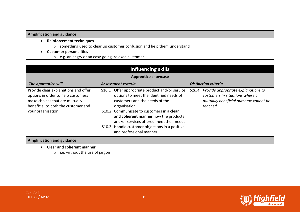#### **Amplification and guidance**

- **Reinforcement techniques** 
	- o something used to clear up customer confusion and help them understand
- **Customer personalities** 
	- o e.g. an angry or an easy-going, relaxed customer

| <b>Influencing skills</b>                                                                                                                                                |                                                                                                                                                                                                                                                                                                                                                                             |                                                                                                                                     |  |  |  |  |
|--------------------------------------------------------------------------------------------------------------------------------------------------------------------------|-----------------------------------------------------------------------------------------------------------------------------------------------------------------------------------------------------------------------------------------------------------------------------------------------------------------------------------------------------------------------------|-------------------------------------------------------------------------------------------------------------------------------------|--|--|--|--|
| <b>Apprentice showcase</b>                                                                                                                                               |                                                                                                                                                                                                                                                                                                                                                                             |                                                                                                                                     |  |  |  |  |
| The apprentice will                                                                                                                                                      | Assessment criteria                                                                                                                                                                                                                                                                                                                                                         | <b>Distinction criteria</b>                                                                                                         |  |  |  |  |
| Provide clear explanations and offer<br>options in order to help customers<br>make choices that are mutually<br>beneficial to both the customer and<br>your organisation | Offer appropriate product and/or service<br>S10.1<br>options to meet the identified needs of<br>customers and the needs of the<br>organisation<br>Communicate to customers in a clear<br>S <sub>10.2</sub><br>and coherent manner how the products<br>and/or services offered meet their needs<br>S10.3 Handle customer objections in a positive<br>and professional manner | Provide appropriate explanations to<br>S10.4<br>customers in situations where a<br>mutually beneficial outcome cannot be<br>reached |  |  |  |  |
| <b>Amplification and guidance</b>                                                                                                                                        |                                                                                                                                                                                                                                                                                                                                                                             |                                                                                                                                     |  |  |  |  |
| <b>Clear and coherent manner</b><br>i.e. without the use of jargon<br>$\circ$                                                                                            |                                                                                                                                                                                                                                                                                                                                                                             |                                                                                                                                     |  |  |  |  |

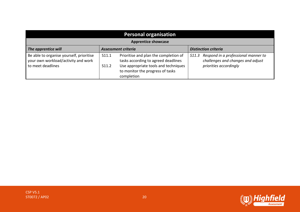| <b>Personal organisation</b>                                                                         |                |                                                                                                                                                                        |       |                                                                                                    |
|------------------------------------------------------------------------------------------------------|----------------|------------------------------------------------------------------------------------------------------------------------------------------------------------------------|-------|----------------------------------------------------------------------------------------------------|
| <b>Apprentice showcase</b>                                                                           |                |                                                                                                                                                                        |       |                                                                                                    |
| The apprentice will<br><b>Distinction criteria</b><br>Assessment criteria                            |                |                                                                                                                                                                        |       |                                                                                                    |
| Be able to organise yourself, prioritise<br>your own workload/activity and work<br>to meet deadlines | S11.1<br>S11.2 | Prioritise and plan the completion of<br>tasks according to agreed deadlines<br>Use appropriate tools and techniques<br>to monitor the progress of tasks<br>completion | S11.3 | Respond in a professional manner to<br>challenges and changes and adjust<br>priorities accordingly |

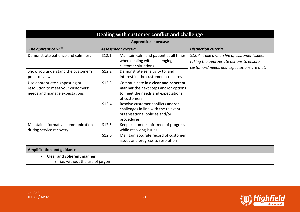| Dealing with customer conflict and challenge                                                          |                |                                                                                                                                                                                                                                                                |                                                                                                                                    |  |
|-------------------------------------------------------------------------------------------------------|----------------|----------------------------------------------------------------------------------------------------------------------------------------------------------------------------------------------------------------------------------------------------------------|------------------------------------------------------------------------------------------------------------------------------------|--|
|                                                                                                       |                | <b>Apprentice showcase</b>                                                                                                                                                                                                                                     |                                                                                                                                    |  |
| The apprentice will                                                                                   |                | <b>Assessment criteria</b>                                                                                                                                                                                                                                     | <b>Distinction criteria</b>                                                                                                        |  |
| Demonstrate patience and calmness                                                                     | S12.1          | Maintain calm and patient at all times<br>when dealing with challenging<br>customer situations                                                                                                                                                                 | S12.7 Take ownership of customer issues,<br>taking the appropriate actions to ensure<br>customers' needs and expectations are met. |  |
| Show you understand the customer's<br>point of view                                                   | S12.2          | Demonstrate sensitivity to, and<br>interest in, the customers' concerns                                                                                                                                                                                        |                                                                                                                                    |  |
| Use appropriate signposting or<br>resolution to meet your customers'<br>needs and manage expectations | S12.3<br>S12.4 | Communicate in a clear and coherent<br>manner the next steps and/or options<br>to meet the needs and expectations<br>of customers<br>Resolve customer conflicts and/or<br>challenges in line with the relevant<br>organisational policies and/or<br>procedures |                                                                                                                                    |  |
| Maintain informative communication<br>during service recovery                                         | S12.5<br>S12.6 | Keep customers informed of progress<br>while resolving issues<br>Maintain accurate record of customer<br>issues and progress to resolution                                                                                                                     |                                                                                                                                    |  |
| <b>Amplification and guidance</b>                                                                     |                |                                                                                                                                                                                                                                                                |                                                                                                                                    |  |
| <b>Clear and coherent manner</b><br>i.e. without the use of jargon<br>$\circ$                         |                |                                                                                                                                                                                                                                                                |                                                                                                                                    |  |

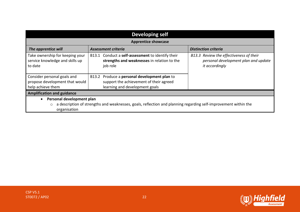| <b>Developing self</b>                                                                                                                                                  |                                                                                                                           |                                                                                                   |  |
|-------------------------------------------------------------------------------------------------------------------------------------------------------------------------|---------------------------------------------------------------------------------------------------------------------------|---------------------------------------------------------------------------------------------------|--|
|                                                                                                                                                                         | <b>Apprentice showcase</b>                                                                                                |                                                                                                   |  |
| The apprentice will                                                                                                                                                     | Assessment criteria                                                                                                       | <b>Distinction criteria</b>                                                                       |  |
| Take ownership for keeping your<br>service knowledge and skills up<br>to date                                                                                           | B13.1 Conduct a self-assessment to identify their<br>strengths and weaknesses in relation to the<br>job role              | B13.3 Review the effectiveness of their<br>personal development plan and update<br>it accordingly |  |
| Consider personal goals and<br>propose development that would<br>help achieve them                                                                                      | B13.2 Produce a personal development plan to<br>support the achievement of their agreed<br>learning and development goals |                                                                                                   |  |
| <b>Amplification and guidance</b>                                                                                                                                       |                                                                                                                           |                                                                                                   |  |
| Personal development plan<br>a description of strengths and weaknesses, goals, reflection and planning regarding self-improvement within the<br>$\circ$<br>organisation |                                                                                                                           |                                                                                                   |  |

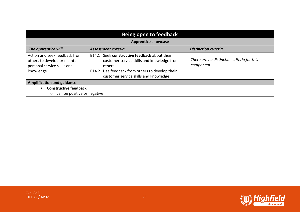| Being open to feedback                                                                                     |                                                                                                                                                                                                  |                                                         |  |  |
|------------------------------------------------------------------------------------------------------------|--------------------------------------------------------------------------------------------------------------------------------------------------------------------------------------------------|---------------------------------------------------------|--|--|
| <b>Apprentice showcase</b>                                                                                 |                                                                                                                                                                                                  |                                                         |  |  |
| The apprentice will<br><b>Assessment criteria</b><br><b>Distinction criteria</b>                           |                                                                                                                                                                                                  |                                                         |  |  |
| Act on and seek feedback from<br>others to develop or maintain<br>personal service skills and<br>knowledge | B14.1 Seek constructive feedback about their<br>customer service skills and knowledge from<br>others<br>B14.2 Use feedback from others to develop their<br>customer service skills and knowledge | There are no distinction criteria for this<br>component |  |  |
| <b>Amplification and guidance</b>                                                                          |                                                                                                                                                                                                  |                                                         |  |  |
| <b>Constructive feedback</b>                                                                               |                                                                                                                                                                                                  |                                                         |  |  |
| can be positive or negative<br>$\circ$                                                                     |                                                                                                                                                                                                  |                                                         |  |  |



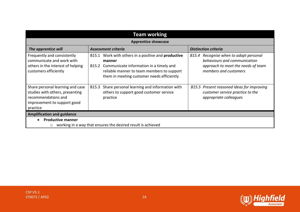| <b>Team working</b>                                                                                                                                                                                                                                                                                                                                               |                                                                                                                                                                                                                   |                                                                                                                                          |  |
|-------------------------------------------------------------------------------------------------------------------------------------------------------------------------------------------------------------------------------------------------------------------------------------------------------------------------------------------------------------------|-------------------------------------------------------------------------------------------------------------------------------------------------------------------------------------------------------------------|------------------------------------------------------------------------------------------------------------------------------------------|--|
|                                                                                                                                                                                                                                                                                                                                                                   | <b>Apprentice showcase</b>                                                                                                                                                                                        |                                                                                                                                          |  |
| The apprentice will                                                                                                                                                                                                                                                                                                                                               | Assessment criteria                                                                                                                                                                                               | <b>Distinction criteria</b>                                                                                                              |  |
| Frequently and consistently<br>communicate and work with<br>others in the interest of helping<br>customers efficiently                                                                                                                                                                                                                                            | B15.1 Work with others in a positive and <b>productive</b><br>manner<br>B15.2 Communicate information in a timely and<br>reliable manner to team members to support<br>them in meeting customer needs efficiently | Recognise when to adapt personal<br>B15.4<br>behaviours and communication<br>approach to meet the needs of team<br>members and customers |  |
| Share personal learning and case<br>Share personal learning and information with<br>B15.5 Present reasoned ideas for improving<br>B15.3<br>studies with others, presenting<br>others to support good customer service<br>customer service practice to the<br>recommendations and<br>appropriate colleagues<br>practice<br>improvement to support good<br>practice |                                                                                                                                                                                                                   |                                                                                                                                          |  |
| <b>Amplification and guidance</b>                                                                                                                                                                                                                                                                                                                                 |                                                                                                                                                                                                                   |                                                                                                                                          |  |
| <b>Productive manner</b>                                                                                                                                                                                                                                                                                                                                          |                                                                                                                                                                                                                   |                                                                                                                                          |  |
| working in a way that ensures the desired result is achieved<br>$\circ$                                                                                                                                                                                                                                                                                           |                                                                                                                                                                                                                   |                                                                                                                                          |  |



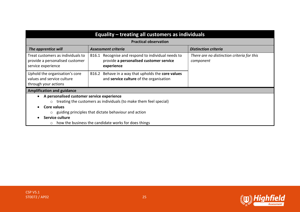| Equality – treating all customers as individuals                                                                                                                                                                                                                                          |                                                                                               |                                                         |  |
|-------------------------------------------------------------------------------------------------------------------------------------------------------------------------------------------------------------------------------------------------------------------------------------------|-----------------------------------------------------------------------------------------------|---------------------------------------------------------|--|
|                                                                                                                                                                                                                                                                                           | <b>Practical observation</b>                                                                  |                                                         |  |
| The apprentice will                                                                                                                                                                                                                                                                       | <b>Assessment criteria</b>                                                                    | <b>Distinction criteria</b>                             |  |
| Treat customers as individuals to<br>Recognise and respond to individual needs to<br>B16.1<br>provide a personalised customer service<br>provide a personalised customer<br>service experience<br>experience                                                                              |                                                                                               | There are no distinction criteria for this<br>component |  |
| Uphold the organisation's core<br>values and service culture<br>through your actions                                                                                                                                                                                                      | B16.2 Behave in a way that upholds the core values<br>and service culture of the organisation |                                                         |  |
| <b>Amplification and guidance</b>                                                                                                                                                                                                                                                         |                                                                                               |                                                         |  |
| A personalised customer service experience<br>$\circ$ treating the customers as individuals (to make them feel special)<br>Core values<br>$\circ$ guiding principles that dictate behaviour and action<br>Service culture<br>$\circ$ how the business the candidate works for does things |                                                                                               |                                                         |  |

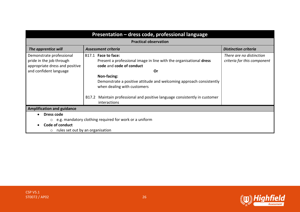| Presentation - dress code, professional language                                                                                                                                                                                                                                                                                                                                                                                                                                  |                     |                                                         |  |
|-----------------------------------------------------------------------------------------------------------------------------------------------------------------------------------------------------------------------------------------------------------------------------------------------------------------------------------------------------------------------------------------------------------------------------------------------------------------------------------|---------------------|---------------------------------------------------------|--|
| <b>Practical observation</b>                                                                                                                                                                                                                                                                                                                                                                                                                                                      |                     |                                                         |  |
| The apprentice will                                                                                                                                                                                                                                                                                                                                                                                                                                                               | Assessment criteria | <b>Distinction criteria</b>                             |  |
| Demonstrate professional<br>B <sub>17.1</sub> Face to face:<br>pride in the job through<br>Present a professional image in line with the organisational dress<br>appropriate dress and positive<br>code and code of conduct<br>and confident language<br>0r<br>Non-facing:<br>Demonstrate a positive attitude and welcoming approach consistently<br>when dealing with customers<br>Maintain professional and positive language consistently in customer<br>B17.2<br>interactions |                     | There are no distinction<br>criteria for this component |  |
| <b>Amplification and guidance</b>                                                                                                                                                                                                                                                                                                                                                                                                                                                 |                     |                                                         |  |
| Dress code<br>$\circ$ e.g. mandatory clothing required for work or a uniform<br>Code of conduct<br>$\circ$ rules set out by an organisation                                                                                                                                                                                                                                                                                                                                       |                     |                                                         |  |

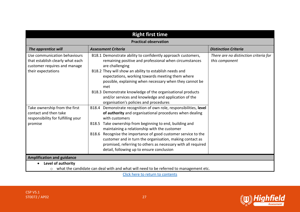| <b>Right first time</b>                                                                                                                                                                                                                                                                                                                                                                                                                                                                                                                                                                                                                                     |                                                                                                                                                                                                                                                                                                                                                                                                                                                 |                                                         |  |
|-------------------------------------------------------------------------------------------------------------------------------------------------------------------------------------------------------------------------------------------------------------------------------------------------------------------------------------------------------------------------------------------------------------------------------------------------------------------------------------------------------------------------------------------------------------------------------------------------------------------------------------------------------------|-------------------------------------------------------------------------------------------------------------------------------------------------------------------------------------------------------------------------------------------------------------------------------------------------------------------------------------------------------------------------------------------------------------------------------------------------|---------------------------------------------------------|--|
|                                                                                                                                                                                                                                                                                                                                                                                                                                                                                                                                                                                                                                                             | <b>Practical observation</b>                                                                                                                                                                                                                                                                                                                                                                                                                    |                                                         |  |
| The apprentice will                                                                                                                                                                                                                                                                                                                                                                                                                                                                                                                                                                                                                                         | <b>Assessment Criteria</b>                                                                                                                                                                                                                                                                                                                                                                                                                      | <b>Distinction Criteria</b>                             |  |
| Use communication behaviours<br>that establish clearly what each<br>customer requires and manage<br>their expectations                                                                                                                                                                                                                                                                                                                                                                                                                                                                                                                                      | B18.1 Demonstrate ability to confidently approach customers,<br>remaining positive and professional when circumstances<br>are challenging<br>B18.2 They will show an ability to establish needs and<br>expectations, working towards meeting them where<br>possible, explaining when necessary when they cannot be<br>met<br>B18.3 Demonstrate knowledge of the organisational products<br>and/or services and knowledge and application of the | There are no distinction criteria for<br>this component |  |
| organisation's policies and procedures<br>Take ownership from the first<br>B18.4 Demonstrate recognition of own role, responsibilities, level<br>contact and then take<br>of authority and organisational procedures when dealing<br>with customers<br>responsibility for fulfilling your<br>B18.5 Take ownership from beginning to end, building and<br>promise<br>maintaining a relationship with the customer<br>B18.6 Recognise the importance of good customer service to the<br>customer and in turn the organisation, making contact as<br>promised, referring to others as necessary with all required<br>detail, following up to ensure conclusion |                                                                                                                                                                                                                                                                                                                                                                                                                                                 |                                                         |  |
| <b>Amplification and guidance</b>                                                                                                                                                                                                                                                                                                                                                                                                                                                                                                                                                                                                                           |                                                                                                                                                                                                                                                                                                                                                                                                                                                 |                                                         |  |
| Level of authority<br>what the candidate can deal with and what will need to be referred to management etc.<br>$\circ$                                                                                                                                                                                                                                                                                                                                                                                                                                                                                                                                      |                                                                                                                                                                                                                                                                                                                                                                                                                                                 |                                                         |  |

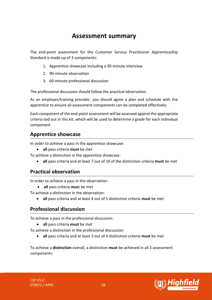## **Assessment summary**

<span id="page-27-0"></span>The end-point assessment for the Customer Service Practitioner Apprenticeship Standard is made up of 3 components:

- 1. Apprentice showcase including a 30-minute interview
- 2. 90-minute observation
- 3. 60-minute professional discussion

The professional discussion should follow the practical observation.

As an employer/training provider, you should agree a plan and schedule with the apprentice to ensure all assessment components can be completed effectively.

Each component of the end-point assessment will be assessed against the appropriate criteria laid out in this kit, which will be used to determine a grade for each individual component.

## **Apprentice showcase**

In order to achieve a pass in the apprentice showcase:

• **all** pass criteria **must** be met

To achieve a distinction in the apprentice showcase:

• **all** pass criteria and at least 7 out of 10 of the distinction criteria **must** be met

## **Practical observation**

In order to achieve a pass in the observation:

- **all** pass criteria **mus**t be met
- To achieve a distinction in the observation:
	- **all** pass criteria and at least 4 out of 5 distinction criteria **must** be met

## **Professional discussion**

To achieve a pass in the professional discussion:

• **all** pass criteria **must** be met

To achieve a distinction in the professional discussion:

• **all** pass criteria and at least 3 out of 4 distinction criteria **must** be met

To achieve a **distinction** overall, a distinction **must** be achieved in all 3 assessment components.



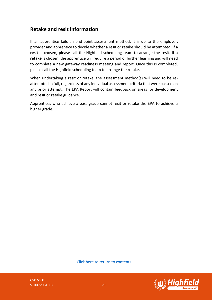### **Retake and resit information**

If an apprentice fails an end-point assessment method, it is up to the employer, provider and apprentice to decide whether a resit or retake should be attempted. If a **resit** is chosen, please call the Highfield scheduling team to arrange the resit. If a **retake** is chosen, the apprentice will require a period of further learning and will need to complete a new gateway readiness meeting and report. Once this is completed, please call the Highfield scheduling team to arrange the retake.

When undertaking a resit or retake, the assessment method(s) will need to be reattempted in full, regardless of any individual assessment criteria that were passed on any prior attempt. The EPA Report will contain feedback on areas for development and resit or retake guidance.

Apprentices who achieve a pass grade cannot resit or retake the EPA to achieve a higher grade.

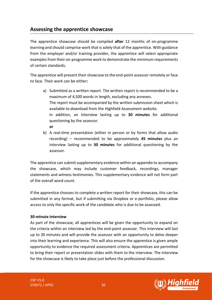## <span id="page-29-0"></span>**Assessing the apprentice showcase**

The apprentice showcase should be compiled **after** 12 months of on-programme learning and should comprise work that is solely that of the apprentice. With guidance from the employer and/or training provider, the apprentice will select appropriate examples from their on-programme work to demonstrate the minimum requirements of certain standards.

The apprentice will present their showcase to the end-point assessor remotely or face to face. Their work can be either**:**

- a) Submitted as a written report. The written report is recommended to be a maximum of 4,500 words in length, excluding any annexes. The report must be accompanied by the written submission sheet which is available to download from the Highfield Assessment website. In addition, an interview lasting up to **30 minutes** for additional questioning by the assessor. **or**
- b) A real-time presentation (either in person or by forms that allow audio recording) – recommended to be approximately **45 minutes** plus an interview lasting up to **30 minutes** for additional questioning by the assessor.

The apprentice can submit supplementary evidence within an appendix to accompany the showcase, which may include customer feedback, recordings, manager statements and witness testimonies. This supplementary evidence will not form part of the overall word count.

If the apprentice chooses to complete a written report for their showcase, this can be submitted in any format, but if submitting via Dropbox or e-portfolio, please allow access to only the specific work of the candidate who is due to be assessed.

#### **30-minute interview**

As part of the showcase, all apprentices will be given the opportunity to expand on the criteria within an interview led by the end-point assessor. This interview will last up to 30 minutes and will provide the assessor with an opportunity to delve deeper into their learning and experience. This will also ensure the apprentice is given ample opportunity to evidence the required assessment criteria. Apprentices are permitted to bring their report or presentation slides with them to the interview. The interview for the showcase is likely to take place just before the professional discussion.

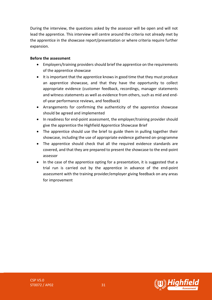During the interview, the questions asked by the assessor will be open and will not lead the apprentice. This interview will centre around the criteria not already met by the apprentice in the showcase report/presentation or where criteria require further expansion.

#### **Before the assessment**

- Employers/training providers should brief the apprentice on the requirements of the apprentice showcase
- It is important that the apprentice knows in good time that they must produce an apprentice showcase, and that they have the opportunity to collect appropriate evidence (customer feedback, recordings, manager statements and witness statements as well as evidence from others, such as mid and endof-year performance reviews, and feedback)
- Arrangements for confirming the authenticity of the apprentice showcase should be agreed and implemented
- In readiness for end-point assessment, the employer/training provider should give the apprentice the Highfield Apprentice Showcase Brief
- The apprentice should use the brief to guide them in pulling together their showcase, including the use of appropriate evidence gathered on-programme
- The apprentice should check that all the required evidence standards are covered, and that they are prepared to present the showcase to the end-point assessor
- In the case of the apprentice opting for a presentation, it is suggested that a trial run is carried out by the apprentice in advance of the end-point assessment with the training provider/employer giving feedback on any areas for improvement

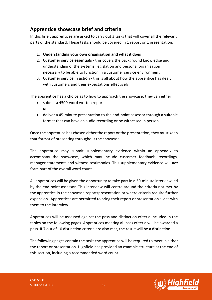## **Apprentice showcase brief and criteria**

In this brief, apprentices are asked to carry out 3 tasks that will cover all the relevant parts of the standard. These tasks should be covered in 1 report or 1 presentation.

- 1. **Understanding your own organisation and what it does**
- 2. **Customer service essentials**  this covers the background knowledge and understanding of the systems, legislation and personal organisation necessary to be able to function in a customer service environment
- 3. **Customer service in action** this is all about how the apprentice has dealt with customers and their expectations effectively

The apprentice has a choice as to how to approach the showcase; they can either:

- submit a 4500-word written report **or**
- deliver a 45-minute presentation to the end-point assessor through a suitable format that can have an audio recording or be witnessed in person

Once the apprentice has chosen either the report or the presentation, they must keep that format of presenting throughout the showcase.

The apprentice may submit supplementary evidence within an appendix to accompany the showcase, which may include customer feedback, recordings, manager statements and witness testimonies. This supplementary evidence will **not** form part of the overall word count.

All apprentices will be given the opportunity to take part in a 30-minute interview led by the end-point assessor. This interview will centre around the criteria not met by the apprentice in the showcase report/presentation or where criteria require further expansion. Apprentices are permitted to bring their report or presentation slides with them to the interview.

Apprentices will be assessed against the pass and distinction criteria included in the tables on the following pages. Apprentices meeting **all** pass criteria will be awarded a pass. If 7 out of 10 distinction criteria are also met, the result will be a distinction.

The following pages contain the tasks the apprentice will be required to meet in either the report or presentation. Highfield has provided an example structure at the end of this section, including a recommended word count.

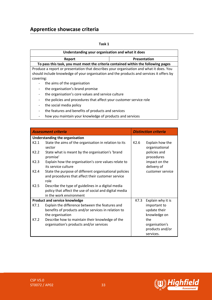## **Apprentice showcase criteria**

| . .<br>×<br>۰. |
|----------------|
|----------------|

| Understanding your organisation and what it does                                               |                                                    |  |  |
|------------------------------------------------------------------------------------------------|----------------------------------------------------|--|--|
| Report                                                                                         | Presentation                                       |  |  |
| To pass this task, you must meet the criteria contained within the following pages             |                                                    |  |  |
| Produce a report or presentation that describes your organisation and what it does. You        |                                                    |  |  |
| should include knowledge of your organisation and the products and services it offers by       |                                                    |  |  |
| covering:                                                                                      |                                                    |  |  |
| the aims of the organisation<br>$\overline{\phantom{a}}$                                       |                                                    |  |  |
| the organisation's brand promise<br>$\overline{\phantom{a}}$                                   |                                                    |  |  |
| $\overline{\phantom{a}}$                                                                       | the organisation's core values and service culture |  |  |
| the policies and procedures that affect your customer service role<br>$\overline{\phantom{a}}$ |                                                    |  |  |
| the social media policy<br>$\overline{\phantom{a}}$                                            |                                                    |  |  |
| the features and benefits of products and services<br>$\overline{\phantom{a}}$                 |                                                    |  |  |
|                                                                                                |                                                    |  |  |

- how you maintain your knowledge of products and services

| <b>Assessment criteria</b> |                                                                                                                                         |      | <b>Distinction criteria</b>       |
|----------------------------|-----------------------------------------------------------------------------------------------------------------------------------------|------|-----------------------------------|
|                            | Understanding the organisation                                                                                                          |      |                                   |
| K2.1                       | State the aims of the organisation in relation to its<br>sector                                                                         | K2.6 | Explain how the<br>organisational |
| K2.2                       | State what is meant by the organisation's 'brand<br>promise'                                                                            |      | policies and<br>procedures        |
| K2.3                       | Explain how the organisation's core values relate to<br>its service culture                                                             |      | impact on the<br>delivery of      |
| K2.4                       | State the purpose of different organisational policies<br>and procedures that affect their customer service<br>role                     |      | customer service                  |
| K2.5                       | Describe the type of guidelines in a digital media<br>policy that affect the use of social and digital media<br>in the work environment |      |                                   |
|                            | <b>Product and service knowledge</b>                                                                                                    | K7.3 | Explain why it is                 |
| K7.1                       | Explain the difference between the features and                                                                                         |      | important to                      |
|                            | benefits of products and/or services in relation to                                                                                     |      | update their                      |
|                            | the organisation                                                                                                                        |      | knowledge on                      |
| K7.2                       | Describe how to maintain their knowledge of the                                                                                         |      | the                               |
|                            | organisation's products and/or services                                                                                                 |      | organisation's                    |
|                            |                                                                                                                                         |      | products and/or                   |
|                            |                                                                                                                                         |      | services.                         |

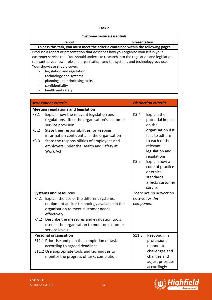| . .<br>×<br>۰.<br>× |  |
|---------------------|--|
|---------------------|--|

| <b>Customer service essentials</b>                                                       |              |  |
|------------------------------------------------------------------------------------------|--------------|--|
| Report                                                                                   | Presentation |  |
| To pass this task, you must meet the criteria contained within the following pages       |              |  |
| Produce a report or presentation that describes how you organise yourself in your        |              |  |
| customer service role. You should undertake research into the regulation and legislation |              |  |
| relevant to your own role and organisation, and the systems and technology you use.      |              |  |
| Your showcase should cover:                                                              |              |  |
| legislation and regulation                                                               |              |  |
| technology and systems                                                                   |              |  |
| planning and prioritising tasks<br>-                                                     |              |  |
| confidentiality                                                                          |              |  |
| health and safety                                                                        |              |  |

|      | <b>Assessment criteria</b>                                                                                      |           | <b>Distinction criteria</b>                                  |
|------|-----------------------------------------------------------------------------------------------------------------|-----------|--------------------------------------------------------------|
|      | <b>Meeting regulations and legislation</b>                                                                      |           |                                                              |
| K3.1 | Explain how the relevant legislation and<br>regulations affect the organisation's customer<br>service provision | K3.4      | Explain the<br>potential impact<br>on the                    |
| K3.2 | State their responsibilities for keeping<br>information confidential in the organisation                        |           | organisation if it<br>fails to adhere                        |
| K3.3 | State the responsibilities of employees and<br>employers under the Health and Safety at<br><b>Work Act</b>      |           | to each of the<br>relevant<br>legislation and<br>regulations |
|      |                                                                                                                 | K3.5      | Explain how a                                                |
|      |                                                                                                                 |           | code of practice                                             |
|      |                                                                                                                 |           | or ethical<br>standards                                      |
|      |                                                                                                                 |           | affects customer                                             |
|      |                                                                                                                 |           | service                                                      |
|      | <b>Systems and resources</b>                                                                                    |           | There are no distinction                                     |
|      | K4.1 Explain the use of the different systems,                                                                  |           | criteria for this                                            |
|      | equipment and/or technology available in the                                                                    | component |                                                              |
|      | organisation to meet customer needs<br>effectively                                                              |           |                                                              |
| K4.2 | Describe the measures and evaluation tools                                                                      |           |                                                              |
|      | used in the organisation to monitor customer                                                                    |           |                                                              |
|      | service levels                                                                                                  |           |                                                              |
|      | <b>Personal organisation</b>                                                                                    | S11.3     | Respond in a                                                 |
|      | S11.1 Prioritise and plan the completion of tasks                                                               |           | professional                                                 |
|      | according to agreed deadlines                                                                                   |           | manner to                                                    |
|      | S11.2 Use appropriate tools and techniques to<br>monitor the progress of tasks completion                       |           | challenges and<br>changes and                                |
|      |                                                                                                                 |           | adjust priorities                                            |
|      |                                                                                                                 |           | accordingly                                                  |

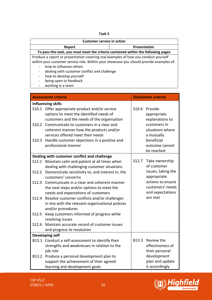| . .<br>×<br>۰.<br>۰.<br>×<br>v |  |
|--------------------------------|--|
|--------------------------------|--|

| <b>Customer service in action</b>                                                       |                     |
|-----------------------------------------------------------------------------------------|---------------------|
| <b>Report</b>                                                                           | <b>Presentation</b> |
| To pass this task, you must meet the criteria contained within the following pages      |                     |
| Produce a report or presentation covering real examples of how you conduct yourself     |                     |
| within your customer service role. Within your showcase you should provide examples of: |                     |
| how to influence others                                                                 |                     |
| dealing with customer conflict and challenge                                            |                     |
| how to develop yourself                                                                 |                     |
| being open to feedback                                                                  |                     |
| working in a team                                                                       |                     |

|       | <b>Assessment criteria</b>                                                                                                         |       | <b>Distinction criteria</b>                               |
|-------|------------------------------------------------------------------------------------------------------------------------------------|-------|-----------------------------------------------------------|
|       | <b>Influencing skills</b>                                                                                                          |       |                                                           |
| S10.1 | Offer appropriate product and/or service<br>options to meet the identified needs of<br>customers and the needs of the organisation | S10.4 | Provide<br>appropriate<br>explanations to                 |
| S10.2 | Communicate to customers in a clear and<br>coherent manner how the products and/or<br>services offered meet their needs            |       | customers in<br>situations where<br>a mutually            |
| S10.3 | Handle customer objections in a positive and<br>professional manner                                                                |       | beneficial<br>outcome cannot<br>be reached                |
|       | Dealing with customer conflict and challenge                                                                                       |       |                                                           |
|       | S12.1 Maintain calm and patient at all times when<br>dealing with challenging customer situations                                  | S12.7 | Take ownership<br>of customer                             |
| S12.2 | Demonstrate sensitivity to, and interest in, the<br>customers' concerns                                                            |       | issues, taking the<br>appropriate                         |
| S12.3 | Communicate in a clear and coherent manner<br>the next steps and/or options to meet the<br>needs and expectations of customers     |       | actions to ensure<br>customers' needs<br>and expectations |
| S12.4 | Resolve customer conflicts and/or challenges<br>in line with the relevant organisational policies<br>and/or procedures             |       | are met                                                   |
| S12.5 | Keep customers informed of progress while<br>resolving issues                                                                      |       |                                                           |
| S12.6 | Maintain accurate record of customer issues<br>and progress to resolution                                                          |       |                                                           |
|       | <b>Developing self</b>                                                                                                             |       |                                                           |
|       | B13.1 Conduct a self-assessment to identify their<br>strengths and weaknesses in relation to the<br>job role                       | B13.3 | Review the<br>effectiveness of<br>their personal          |
| B13.2 | Produce a personal development plan to<br>support the achievement of their agreed<br>learning and development goals                |       | development<br>plan and update<br>it accordingly          |

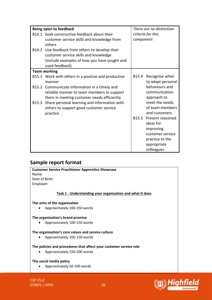|       | Being open to feedback                              |           | There are no distinction |
|-------|-----------------------------------------------------|-----------|--------------------------|
|       | B14.1 Seek constructive feedback about their        |           | criteria for this        |
|       | customer service skills and knowledge from          | component |                          |
|       | others                                              |           |                          |
|       | B14.2 Use feedback from others to develop their     |           |                          |
|       | customer service skills and knowledge               |           |                          |
|       | (include examples of how you have sought and        |           |                          |
|       | used feedback)                                      |           |                          |
|       | <b>Team working</b>                                 |           |                          |
|       | B15.1 Work with others in a positive and productive | B15.4     | Recognise when           |
|       | manner                                              |           | to adapt personal        |
|       | B15.2 Communicate information in a timely and       |           | behaviours and           |
|       | reliable manner to team members to support          |           | communication            |
|       | them in meeting customer needs efficiently          |           | approach to              |
| B15.3 | Share personal learning and information with        |           | meet the needs           |
|       | others to support good customer service             |           | of team members          |
|       | practice                                            |           | and customers            |
|       |                                                     |           | B15.5 Present reasoned   |
|       |                                                     |           | ideas for                |
|       |                                                     |           | improving                |
|       |                                                     |           | customer service         |
|       |                                                     |           | practice to the          |
|       |                                                     |           | appropriate              |
|       |                                                     |           | colleagues               |

## **Sample report format**

| <b>Customer Service Practitioner Apprentice Showcase</b>  |
|-----------------------------------------------------------|
| Name:                                                     |
| Date of Birth:                                            |
| Employer:                                                 |
|                                                           |
| Task 1 - Understanding your organisation and what it does |
| The aims of the organisation                              |
| Approximately 100-150 words<br>$\bullet$                  |
| The organisation's brand promise                          |
| Approximately 100-150 words<br>$\bullet$                  |
| The organisation's core values and service culture        |

• Approximately 100-150 words

#### **The policies and procedures that affect your customer service role**

• Approximately 150-200 words

#### **The social media policy**

• Approximately 50-100 words

CSP V5.0 ST0072 / AP02 36

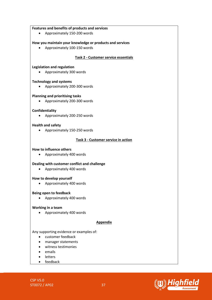#### **Features and benefits of products and services**

• Approximately 150-200 words

#### **How you maintain your knowledge or products and services**

• Approximately 100-150 words

#### **Task 2 - Customer service essentials**

#### **Legislation and regulation**

• Approximately 300 words

#### **Technology and systems**

• Approximately 200-300 words

#### **Planning and prioritising tasks**

• Approximately 200-300 words

#### **Confidentiality**

• Approximately 200-250 words

#### **Health and safety**

• Approximately 150-250 words

#### **Task 3 - Customer service in action**

#### **How to influence others**

• Approximately 400 words

#### **Dealing with customer conflict and challenge**

• Approximately 400 words

#### **How to develop yourself**

• Approximately 400 words

#### **Being open to feedback**

• Approximately 400 words

#### **Working in a team**

• Approximately 400 words

#### **Appendix**

#### Any supporting evidence or examples of:

- customer feedback
- manager statements
- witness testimonies
- emails
- letters
- feedback

CSP V5.0 ST0072 / AP02 37

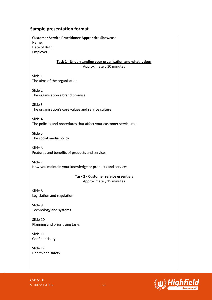#### **Sample presentation format**

**Customer Service Practitioner Apprentice Showcase** Name: Date of Birth: Employer: **Task 1 - Understanding your organisation and what it does** Approximately 10 minutes Slide 1 The aims of the organisation Slide 2 The organisation's brand promise Slide 3 The organisation's core values and service culture Slide 4 The policies and procedures that affect your customer service role Slide 5 The social media policy Slide 6 Features and benefits of products and services Slide 7 How you maintain your knowledge or products and services **Task 2 - Customer service essentials** Approximately 15 minutes Slide 8 Legislation and regulation Slide 9 Technology and systems Slide 10 Planning and prioritising tasks Slide 11 Confidentiality Slide 12 Health and safety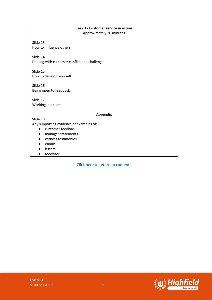#### **Task 3 - Customer service in action** Approximately 20 minutes

Slide 13 How to influence others

Slide 14 Dealing with customer conflict and challenge

Slide 15 How to develop yourself

Slide 16 Being open to feedback

Slide 17 Working in a team

#### **Appendix**

Slide 18 Any supporting evidence or examples of:

- customer feedback
- manager statements
- witness testimonies
- emails
- letters
- feedback



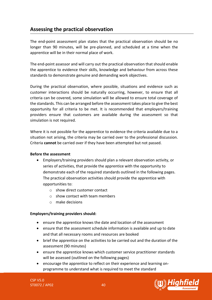## <span id="page-39-0"></span>**Assessing the practical observation**

The end-point assessment plan states that the practical observation should be no longer than 90 minutes, will be pre-planned, and scheduled at a time when the apprentice will be in their normal place of work.

The end-point assessor and will carry out the practical observation that should enable the apprentice to evidence their skills, knowledge and behaviour from across these standards to demonstrate genuine and demanding work objectives.

During the practical observation, where possible, situations and evidence such as customer interactions should be naturally occurring, however, to ensure that all criteria can be covered, some simulation will be allowed to ensure total coverage of the standards. This can be arranged before the assessment takes place to give the best opportunity for all criteria to be met. It is recommended that employers/training providers ensure that customers are available during the assessment so that simulation is not required.

Where it is not possible for the apprentice to evidence the criteria available due to a situation not arising, the criteria may be carried over to the professional discussion. Criteria **cannot** be carried over if they have been attempted but not passed.

#### **Before the assessment**

- Employers/training providers should plan a relevant observation activity, or series of activities, that provide the apprentice with the opportunity to demonstrate each of the required standards outlined in the following pages. The practical observation activities should provide the apprentice with opportunities to:
	- o show direct customer contact
	- $\circ$  show contact with team members
	- o make decisions

#### **Employers/training providers should:**

- ensure the apprentice knows the date and location of the assessment
- ensure that the assessment schedule information is available and up to date and that all necessary rooms and resources are booked
- brief the apprentice on the activities to be carried out and the duration of the assessment (90 minutes)
- ensure the apprentice knows which customer service practitioner standards will be assessed (outlined on the following pages)
- encourage the apprentice to reflect on their experience and learning onprogramme to understand what is required to meet the standard

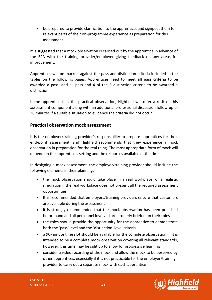• be prepared to provide clarification to the apprentice, and signpost them to relevant parts of their on-programme experience as preparation for this assessment

It is suggested that a mock observation is carried out by the apprentice in advance of the EPA with the training provider/employer giving feedback on any areas for improvement.

Apprentices will be marked against the pass and distinction criteria included in the tables on the following pages. Apprentices need to meet **all pass criteria** to be awarded a pass, and all pass and 4 of the 5 distinction criteria to be awarded a distinction.

If the apprentice fails the practical observation, Highfield will offer a resit of this assessment component along with an additional professional discussion follow-up of 30 minutes if a suitable situation to evidence the criteria did not occur.

### **Practical observation mock assessment**

It is the employer/training provider's responsibility to prepare apprentices for their end-point assessment, and Highfield recommends that they experience a mock observation in preparation for the real thing. The most appropriate form of mock will depend on the apprentice's setting and the resources available at the time.

In designing a mock assessment, the employer/training provider should include the following elements in their planning:

- the mock observation should take place in a real workplace, or a realistic simulation if the real workplace does not present all the required assessment opportunities
- It is recommended that employers/training providers ensure that customers are available during the assessment
- it is strongly recommended that the mock observation has been practised beforehand and all personnel involved are properly briefed on their roles
- the roles should provide the opportunity for the apprentice to demonstrate both the 'pass' level and the 'distinction' level criteria
- a 90-minute time slot should be available for the complete observation, if it is intended to be a complete mock observation covering all relevant standards, however, this time may be split up to allow for progressive learning
- consider a video recording of the mock and allow the mock to be observed by other apprentices, especially if it is not practicable for the employer/training provider to carry out a separate mock with each apprentice

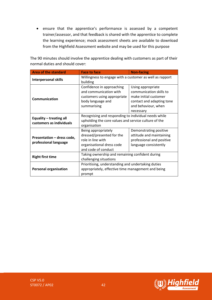• ensure that the apprentice's performance is assessed by a competent trainer/assessor, and that feedback is shared with the apprentice to complete the learning experience; mock assessment sheets are available to download from the Highfield Assessment website and may be used for this purpose

The 90 minutes should involve the apprentice dealing with customers as part of their normal duties and should cover:

| <b>Area of the standard</b>                         | <b>Face to face</b>                                                                                                          | <b>Non-facing</b>                                                                                                                      |
|-----------------------------------------------------|------------------------------------------------------------------------------------------------------------------------------|----------------------------------------------------------------------------------------------------------------------------------------|
| <b>Interpersonal skills</b>                         | Willingness to engage with a customer as well as rapport<br>building                                                         |                                                                                                                                        |
| <b>Communication</b>                                | Confidence in approaching<br>and communication with<br>customers using appropriate<br>body language and<br>summarising       | Using appropriate<br>communication skills to<br>make initial customer<br>contact and adapting tone<br>and behaviour, when<br>necessary |
| Equality - treating all<br>customers as individuals | Recognising and responding to individual needs while<br>upholding the core values and service culture of the<br>organisation |                                                                                                                                        |
| Presentation - dress code,<br>professional language | Being appropriately<br>dressed/presented for the<br>role in line with<br>organisational dress code<br>and code of conduct    | Demonstrating positive<br>attitude and maintaining<br>professional and positive<br>language consistently                               |
| <b>Right first time</b>                             | Taking ownership and remaining confident during<br>challenging situations                                                    |                                                                                                                                        |
| <b>Personal organisation</b>                        | Prioritising, understanding and undertaking duties<br>appropriately, effective time management and being<br>prompt           |                                                                                                                                        |

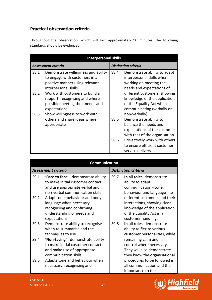## **Practical observation criteria**

Throughout the observation, which will last approximately 90 minutes, the following standards should be evidenced.

|      | <b>Interpersonal skills</b>                                                                                                    |      |                                                                                                                                   |
|------|--------------------------------------------------------------------------------------------------------------------------------|------|-----------------------------------------------------------------------------------------------------------------------------------|
|      | <b>Assessment criteria</b>                                                                                                     |      | <b>Distinction criteria</b>                                                                                                       |
| S8.1 | Demonstrate willingness and ability<br>to engage with customers in a<br>positive manner using relevant<br>interpersonal skills | S8.4 | Demonstrate ability to adapt<br>interpersonal skills when<br>working on meeting the<br>needs and expectations of                  |
| S8.2 | Work with customers to build a<br>rapport, recognising and where<br>possible meeting their needs and<br>expectations           |      | different customers, showing<br>knowledge of the application<br>of the Equality Act when<br>communicating (verbally or            |
| S8.3 | Show willingness to work with<br>others and share ideas where<br>appropriate                                                   | S8.5 | non-verbally)<br>Demonstrate ability to<br>balance the needs and<br>expectations of the customer<br>with that of the organisation |
|      |                                                                                                                                | S8.6 | Pro-actively work with others<br>to ensure efficient customer<br>service delivery                                                 |

|              | Communication                                                                                                                                                                                                                                                                                  |      |                                                                                                                                                                                                                                                           |
|--------------|------------------------------------------------------------------------------------------------------------------------------------------------------------------------------------------------------------------------------------------------------------------------------------------------|------|-----------------------------------------------------------------------------------------------------------------------------------------------------------------------------------------------------------------------------------------------------------|
|              | <b>Assessment criteria</b>                                                                                                                                                                                                                                                                     |      | <b>Distinction criteria</b>                                                                                                                                                                                                                               |
| S9.1<br>S9.2 | <b>'Face to face'</b> - demonstrate ability<br>to make initial customer contact<br>and use appropriate verbal and<br>non-verbal communication skills<br>Adapt tone, behaviour and body<br>language when necessary,<br>recognising and confirming<br>understanding of needs and<br>expectations | S9.7 | In all roles, demonstrate<br>ability to adapt<br>communication - tone,<br>behaviour and language - to<br>different customers and their<br>interactions, showing clear<br>knowledge of the application<br>of the Equality Act in all<br>customer handling. |
| S9.3         | Demonstrate ability to recognise<br>when to summarise and the<br>techniques to use                                                                                                                                                                                                             | S9.8 | In all roles, demonstrate<br>ability to flex to various<br>customer personalities, while                                                                                                                                                                  |
| S9.4         | 'Non-facing' - demonstrate ability<br>to make initial customer contact<br>and make use of appropriate<br>communication skills                                                                                                                                                                  |      | remaining calm and in<br>control where necessary.<br>They will also demonstrate<br>they know the organisational                                                                                                                                           |
| S9.5         | Adapts tone and behaviour when<br>necessary, recognising and                                                                                                                                                                                                                                   |      | procedures to be followed in<br>all communication and the<br>importance to the                                                                                                                                                                            |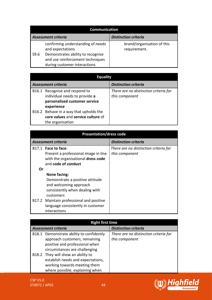|      | <b>Communication</b>                                                                                                                                           |                                            |
|------|----------------------------------------------------------------------------------------------------------------------------------------------------------------|--------------------------------------------|
|      | <b>Assessment criteria</b>                                                                                                                                     | <b>Distinction criteria</b>                |
| S9.6 | confirming understanding of needs<br>and expectations<br>Demonstrates ability to recognise<br>and use reinforcement techniques<br>during customer interactions | brand/organisation of this<br>requirement. |

| <b>Equality</b>                        |                                       |
|----------------------------------------|---------------------------------------|
| <b>Assessment criteria</b>             | <b>Distinction criteria</b>           |
| B16.1 Recognise and respond to         | There are no distinction criteria for |
| individual needs to provide a          | this component                        |
| personalised customer service          |                                       |
| experience                             |                                       |
| B16.2 Behave in a way that upholds the |                                       |
| core values and service culture of     |                                       |
| the organisation                       |                                       |

| <b>Presentation/dress code</b> |
|--------------------------------|
|--------------------------------|

| <b>Assessment criteria</b> |                                      | <b>Distinction criteria</b>           |
|----------------------------|--------------------------------------|---------------------------------------|
|                            | B17.1 Face to face:                  | There are no distinction criteria for |
|                            | Present a professional image in line | this component                        |
|                            | with the organisational dress code   |                                       |
|                            | and code of conduct                  |                                       |
| Or                         |                                      |                                       |
|                            | None facing:                         |                                       |
|                            | Demonstrate a positive attitude      |                                       |
|                            | and welcoming approach               |                                       |
|                            | consistently when dealing with       |                                       |
|                            | customers                            |                                       |
| B17.2                      | Maintain professional and positive   |                                       |
|                            | language consistently in customer    |                                       |
|                            | interactions                         |                                       |

| <b>Right first time</b>    |                                                                                                                                                                                    |                                                         |
|----------------------------|------------------------------------------------------------------------------------------------------------------------------------------------------------------------------------|---------------------------------------------------------|
| <b>Assessment criteria</b> |                                                                                                                                                                                    | <b>Distinction criteria</b>                             |
|                            | B18.1 Demonstrate ability to confidently<br>approach customers, remaining<br>positive and professional when<br>circumstances are challenging<br>B18.2 They will show an ability to | There are no distinction criteria for<br>this component |
|                            | establish needs and expectations,<br>working towards meeting them<br>where possible, explaining when                                                                               |                                                         |

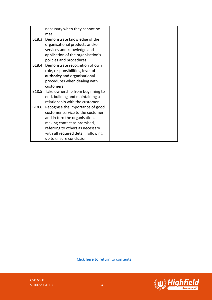|       | necessary when they cannot be          |  |
|-------|----------------------------------------|--|
|       | met                                    |  |
|       | B18.3 Demonstrate knowledge of the     |  |
|       | organisational products and/or         |  |
|       | services and knowledge and             |  |
|       | application of the organisation's      |  |
|       | policies and procedures                |  |
|       | B18.4 Demonstrate recognition of own   |  |
|       | role, responsibilities, level of       |  |
|       | authority and organisational           |  |
|       | procedures when dealing with           |  |
|       | customers                              |  |
|       | B18.5 Take ownership from beginning to |  |
|       | end, building and maintaining a        |  |
|       | relationship with the customer         |  |
| B18.6 | Recognise the importance of good       |  |
|       | customer service to the customer       |  |
|       | and in turn the organisation,          |  |
|       | making contact as promised,            |  |
|       | referring to others as necessary       |  |
|       | with all required detail, following    |  |
|       | up to ensure conclusion                |  |

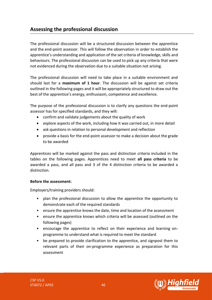## <span id="page-45-0"></span>**Assessing the professional discussion**

The professional discussion will be a structured discussion between the apprentice and the end-point assessor. This will follow the observation in order to establish the apprentice's understanding and application of the set criteria of knowledge, skills and behaviours. The professional discussion can be used to pick up any criteria that were not evidenced during the observation due to a suitable situation not arising.

The professional discussion will need to take place in a suitable environment and should last for a **maximum of 1 hour**. The discussion will be against set criteria outlined in the following pages and it will be appropriately structured to draw out the best of the apprentice's energy, enthusiasm, competence and excellence.

The purpose of the professional discussion is to clarify any questions the end-point assessor has for specified standards, and they will:

- confirm and validate judgements about the quality of work
- explore aspects of the work, including how it was carried out, in more detail
- ask questions in relation to personal development and reflection
- provide a basis for the end-point assessor to make a decision about the grade to be awarded

Apprentices will be marked against the pass and distinction criteria included in the tables on the following pages. Apprentices need to meet **all pass criteria** to be awarded a pass, and all pass and 3 of the 4 distinction criteria to be awarded a distinction.

#### **Before the assessment:**

Employers/training providers should:

- plan the professional discussion to allow the apprentice the opportunity to demonstrate each of the required standards
- ensure the apprentice knows the date, time and location of the assessment
- ensure the apprentice knows which criteria will be assessed (outlined on the following pages)
- encourage the apprentice to reflect on their experience and learning onprogramme to understand what is required to meet the standard
- be prepared to provide clarification to the apprentice, and signpost them to relevant parts of their on-programme experience as preparation for this assessment



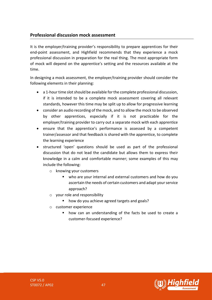### **Professional discussion mock assessment**

It is the employer/training provider's responsibility to prepare apprentices for their end-point assessment, and Highfield recommends that they experience a mock professional discussion in preparation for the real thing. The most appropriate form of mock will depend on the apprentice's setting and the resources available at the time.

In designing a mock assessment, the employer/training provider should consider the following elements in their planning:

- a 1-hour time slot should be available for the complete professional discussion, if it is intended to be a complete mock assessment covering all relevant standards, however this time may be split up to allow for progressive learning
- consider an audio recording of the mock, and to allow the mock to be observed by other apprentices, especially if it is not practicable for the employer/training provider to carry out a separate mock with each apprentice
- ensure that the apprentice's performance is assessed by a competent trainer/assessor and that feedback is shared with the apprentice, to complete the learning experience
- structured 'open' questions should be used as part of the professional discussion that do not lead the candidate but allows them to express their knowledge in a calm and comfortable manner; some examples of this may include the following:
	- o knowing your customers
		- who are your internal and external customers and how do you ascertain the needs of certain customers and adapt your service approach?
	- o your role and responsibility
		- how do you achieve agreed targets and goals?
	- o customer experience
		- how can an understanding of the facts be used to create a customer-focused experience?